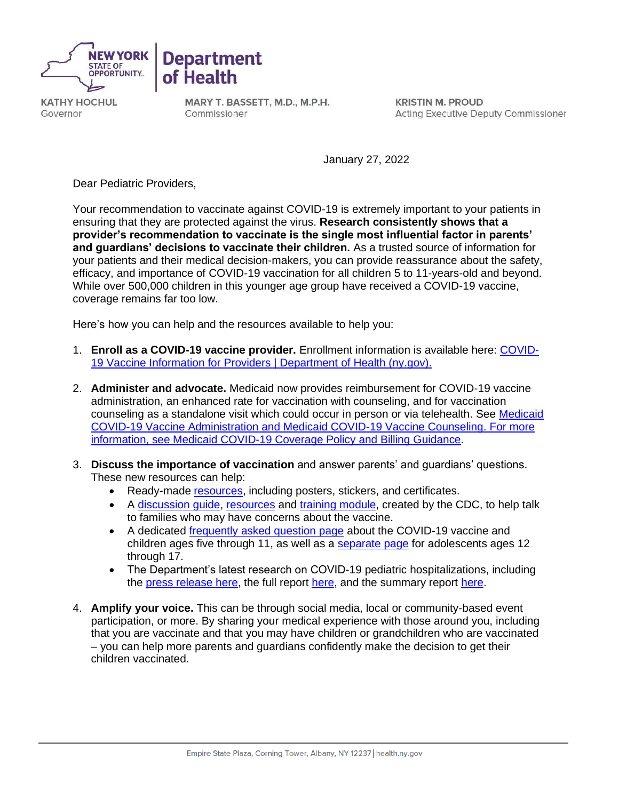



**KA THY HOCHUL**  Governor

**MARY T. BASSETT, M.D., M.P.H.**  Commissioner

**KRISTIN M. PROUD**  Acting Executive Deputy Commissioner

January 27, 2022

Dear Pediatric Providers,

 Your recommendation to vaccinate against COVID-19 is extremely important to your patients in  **provider's recommendation to vaccinate is the single most influential factor in parents' and guardians' decisions to vaccinate their children.** As a trusted source of information for your patients and their medical decision-makers, you can provide reassurance about the safety, efficacy, and importance of COVID-19 vaccination for all children 5 to 11-years-old and beyond. While over 500,000 children in this younger age group have received a COVID-19 vaccine, ensuring that they are protected against the virus. **Research consistently shows that a**  coverage remains far too low.

Here's how you can help and the resources available to help you:

- 1. **Enroll as a COVID-19 vaccine provider.** Enrollment information is available here: [COVID-](https://coronavirus.health.ny.gov/ProvidersVaccine)[19 Vaccine Information for Providers | Department of Health \(ny.gov\).](https://coronavirus.health.ny.gov/ProvidersVaccine)
- 2. **Administer and advocate.** Medicaid now provides reimbursement for COVID-19 vaccine administration, an enhanced rate for vaccination with counseling, and for vaccination counseling as a standalone visit which could occur in person or via telehealth. See Medicaid [COVID-19 Vaccine Administration a](https://www.health.ny.gov/health_care/medicaid/covid19/guidance/docs/billing_guidance.pdf)nd [Medicaid COVID-19 Vaccine Counseling.](https://www.health.ny.gov/health_care/medicaid/program/update/2021/no13_2021-11.htm#vaccine) For more information, see [Medicaid COVID-19 Coverage Policy and Billing Guidance.](https://health.ny.gov/health_care/medicaid/covid19/guidance/billing_guidance.htm)
- 3. **Discuss the importance of vaccination** and answer parents' and guardians' questions. These new resources can help:
	- Ready-made [resources,](https://covid19vaccine.health.ny.gov/educational-assets-1) including posters, stickers, and certificates.
	- A discussion quide, [resources a](https://www.cdc.gov/vaccines/covid-19/planning/children/resources-promote.html)nd [training module,](https://www.cdc.gov/vaccines/covid-19/hcp/conversations-module.html) created by the CDC, to help talk to families who may have concerns about the vaccine.
	- A dedicated *frequently asked question page* about the COVID-19 vaccine and children ages five through 11, as well as a [separate page f](https://covid19vaccine.health.ny.gov/frequently-asked-questions-about-12-17-year-olds-and-covid-19-vaccine)or adolescents ages 12 through 17.
	- • The Department's latest research on COVID-19 pediatric hospitalizations, including the [press release here,](https://www.health.ny.gov/press/releases/2022/2022-01-07_pediatric_hospitalizations.htm) the full report [here,](https://www.health.ny.gov/press/releases/2022/docs/pediatric_covid-19_hospitalization_report.pdf) and the summary report [here.](https://www.health.ny.gov/press/releases/2022/docs/pediatric_covid-19_hospitalization_report_summary.pdf)
- 4. **Amplify your voice.** This can be through social media, local or community-based event participation, or more. By sharing your medical experience with those around you, including – you can help more parents and guardians confidently make the decision to get their that you are vaccinate and that you may have children or grandchildren who are vaccinated children vaccinated.